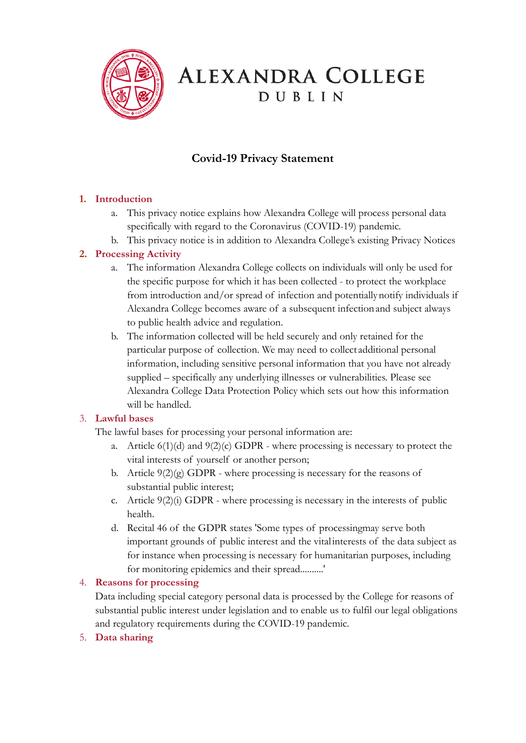

ALEXANDRA COLLEGE DUBLIN

# **Covid-19 Privacy Statement**

# **1. Introduction**

- a. This privacy notice explains how Alexandra College will process personal data specifically with regard to the Coronavirus (COVID-19) pandemic.
- b. This privacy notice is in addition to Alexandra College's existing Privacy Notices

# **2. Processing Activity**

- a. The information Alexandra College collects on individuals will only be used for the specific purpose for which it has been collected - to protect the workplace from introduction and/or spread of infection and potentiallynotify individuals if Alexandra College becomes aware of a subsequent infection and subject always to public health advice and regulation.
- b. The information collected will be held securely and only retained for the particular purpose of collection. We may need to collect additional personal information, including sensitive personal information that you have not already supplied – specifically any underlying illnesses or vulnerabilities. Please see Alexandra College Data Protection Policy which sets out how this information will be handled.

## 3. **Lawful bases**

- The lawful bases for processing your personal information are:
	- a. Article  $6(1)(d)$  and  $9(2)(c)$  GDPR where processing is necessary to protect the vital interests of yourself or another person;
	- b. Article  $9(2)(g)$  GDPR where processing is necessary for the reasons of substantial public interest;
	- c. Article 9(2)(i) GDPR where processing is necessary in the interests of public health.
	- d. Recital 46 of the GDPR states 'Some types of processingmay serve both important grounds of public interest and the vital interests of the data subject as for instance when processing is necessary for humanitarian purposes, including for monitoring epidemics and their spread..........'

## 4. **Reasons for processing**

Data including special category personal data is processed by the College for reasons of substantial public interest under legislation and to enable us to fulfil our legal obligations and regulatory requirements during the COVID-19 pandemic.

## 5. **Data sharing**